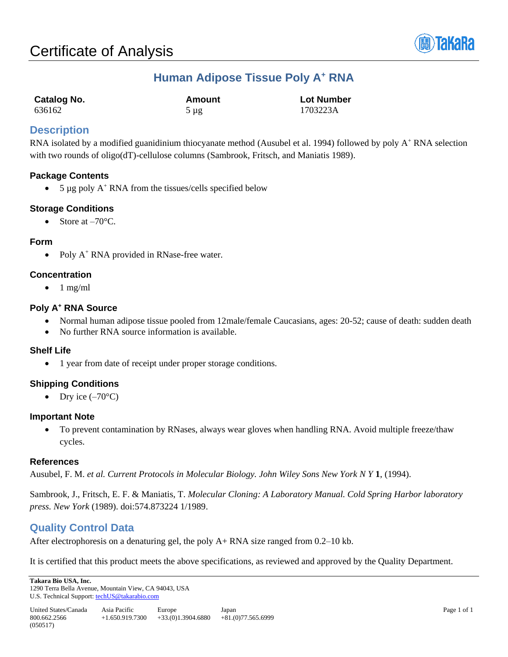

## **Human Adipose Tissue Poly A<sup>+</sup> RNA**

| Catalog No. | Amount    | <b>Lot Number</b> |
|-------------|-----------|-------------------|
| 636162      | $5 \mu g$ | 1703223A          |

## **Description**

RNA isolated by a modified guanidinium thiocyanate method (Ausubel et al. 1994) followed by poly  $A^+$  RNA selection with two rounds of oligo(dT)-cellulose columns (Sambrook, Fritsch, and Maniatis 1989).

## **Package Contents**

• 5 µg poly  $A^+$  RNA from the tissues/cells specified below

## **Storage Conditions**

 $\bullet$  Store at  $-70^{\circ}$ C.

#### **Form**

• Poly  $A^+$  RNA provided in RNase-free water.

#### **Concentration**

 $\bullet$  1 mg/ml

## **Poly A<sup>+</sup> RNA Source**

- Normal human adipose tissue pooled from 12male/female Caucasians, ages: 20-52; cause of death: sudden death
- No further RNA source information is available.

## **Shelf Life**

• 1 year from date of receipt under proper storage conditions.

## **Shipping Conditions**

• Dry ice  $(-70^{\circ}C)$ 

## **Important Note**

 To prevent contamination by RNases, always wear gloves when handling RNA. Avoid multiple freeze/thaw cycles.

## **References**

Ausubel, F. M. *et al. Current Protocols in Molecular Biology. John Wiley Sons New York N Y* **1**, (1994).

Sambrook, J., Fritsch, E. F. & Maniatis, T. *Molecular Cloning: A Laboratory Manual. Cold Spring Harbor laboratory press. New York* (1989). doi:574.873224 1/1989.

## **Quality Control Data**

After electrophoresis on a denaturing gel, the poly A+ RNA size ranged from 0.2–10 kb.

It is certified that this product meets the above specifications, as reviewed and approved by the Quality Department.